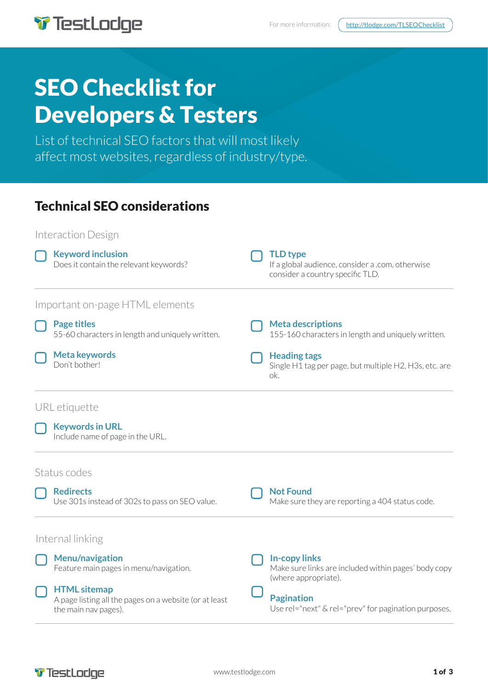

For more information:  $\int$  http://tlodge.com/TLSEOChecklist

# SEO Checklist for Developers & Testers

List of technical SEO factors that will most likely affect most websites, regardless of industry/type.

# Technical SEO considerations



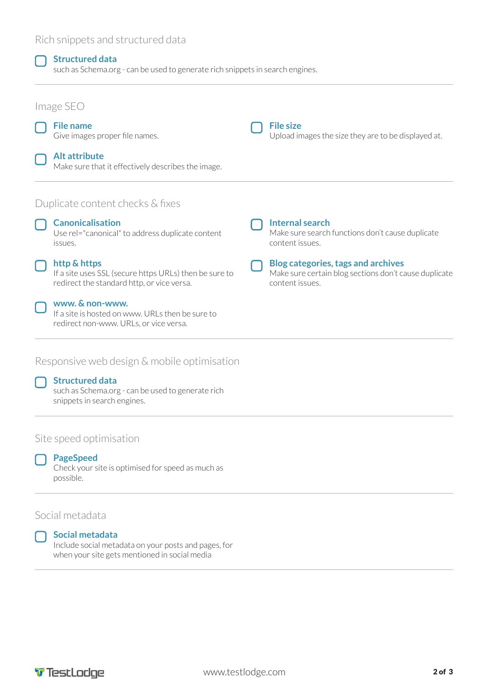### Rich snippets and structured data

#### **Structured data**

such as Schema.org - can be used to generate rich snippets in search engines.